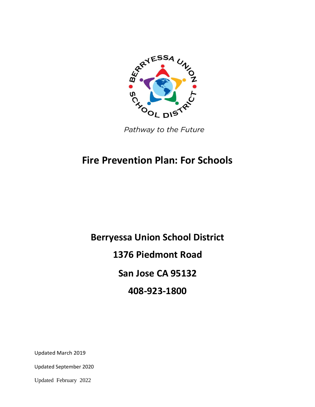

Pathway to the Future

# **Fire Prevention Plan: For Schools**

**Berryessa Union School District 1376 Piedmont Road San Jose CA 95132 408-923-1800**

Updated March 2019

Updated September 2020

Updated February 2022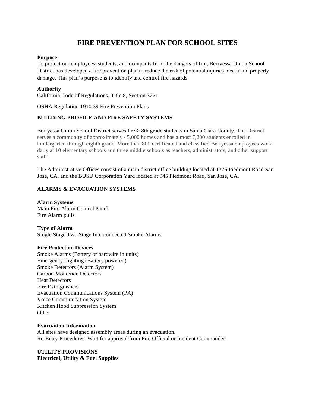# **FIRE PREVENTION PLAN FOR SCHOOL SITES**

#### **Purpose**

To protect our employees, students, and occupants from the dangers of fire, Berryessa Union School District has developed a fire prevention plan to reduce the risk of potential injuries, death and property damage. This plan's purpose is to identify and control fire hazards.

#### **Authority**

California Code of Regulations, Title 8, Section 3221

OSHA Regulation 1910.39 Fire Prevention Plans

# **BUILDING PROFILE AND FIRE SAFETY SYSTEMS**

Berryessa Union School District serves PreK-8th grade students in Santa Clara County. The District serves a community of approximately 45,000 homes and has almost 7,200 students enrolled in kindergarten through eighth grade. More than 800 certificated and classified Berryessa employees work daily at 10 elementary schools and three middle schools as teachers, administrators, and other support staff.

The Administrative Offices consist of a main district office building located at 1376 Piedmont Road San Jose, CA. and the BUSD Corporation Yard located at 945 Piedmont Road, San Jose, CA.

# **ALARMS & EVACUATION SYSTEMS**

**Alarm Systems** Main Fire Alarm Control Panel Fire Alarm pulls

**Type of Alarm** Single Stage Two Stage Interconnected Smoke Alarms

#### **Fire Protection Devices**

Smoke Alarms (Battery or hardwire in units) Emergency Lighting (Battery powered) Smoke Detectors (Alarm System) Carbon Monoxide Detectors Heat Detectors Fire Extinguishers Evacuation Communications System (PA) Voice Communication System Kitchen Hood Suppression System **Other** 

#### **Evacuation Information**

All sites have designed assembly areas during an evacuation. Re-Entry Procedures: Wait for approval from Fire Official or Incident Commander.

**UTILITY PROVISIONS Electrical, Utility & Fuel Supplies**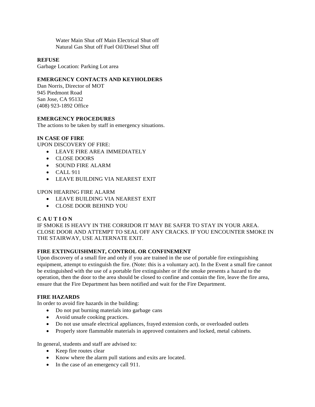Water Main Shut off Main Electrical Shut off Natural Gas Shut off Fuel Oil/Diesel Shut off

#### **REFUSE**

Garbage Location: Parking Lot area

# **EMERGENCY CONTACTS AND KEYHOLDERS**

Dan Norris, Director of MOT 945 Piedmont Road San Jose, CA 95132 (408) 923-1892 Office

## **EMERGENCY PROCEDURES**

The actions to be taken by staff in emergency situations.

# **IN CASE OF FIRE**

UPON DISCOVERY OF FIRE:

- LEAVE FIRE AREA IMMEDIATELY
- CLOSE DOORS
- SOUND FIRE ALARM
- $\bullet$  CALL 911
- LEAVE BUILDING VIA NEAREST EXIT

## UPON HEARING FIRE ALARM

- LEAVE BUILDING VIA NEAREST EXIT
- CLOSE DOOR BEHIND YOU

#### **C A U T I O N**

IF SMOKE IS HEAVY IN THE CORRIDOR IT MAY BE SAFER TO STAY IN YOUR AREA. CLOSE DOOR AND ATTEMPT TO SEAL OFF ANY CRACKS. IF YOU ENCOUNTER SMOKE IN THE STAIRWAY, USE ALTERNATE EXIT.

#### **FIRE EXTINGUISHMENT, CONTROL OR CONFINEMENT**

Upon discovery of a small fire and only if you are trained in the use of portable fire extinguishing equipment, attempt to extinguish the fire. (Note: this is a voluntary act). In the Event a small fire cannot be extinguished with the use of a portable fire extinguisher or if the smoke presents a hazard to the operation, then the door to the area should be closed to confine and contain the fire, leave the fire area, ensure that the Fire Department has been notified and wait for the Fire Department.

## **FIRE HAZARDS**

In order to avoid fire hazards in the building:

- Do not put burning materials into garbage cans
- Avoid unsafe cooking practices.
- Do not use unsafe electrical appliances, frayed extension cords, or overloaded outlets
- Properly store flammable materials in approved containers and locked, metal cabinets.

In general, students and staff are advised to:

- Keep fire routes clear
- Know where the alarm pull stations and exits are located.
- In the case of an emergency call 911.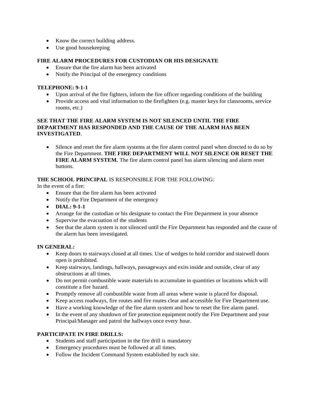- Know the correct building address.
- Use good house keeping

# **FIRE ALARM PROCEDURES FOR CUSTODIAN OR HIS DESIGNATE**

- Ensure that the fire alarm has been activated
- Notify the Principal of the emergency conditions

#### **TELEPHONE: 9-1-1**

- Upon arrival of the fire fighters, inform the fire officer regarding conditions of the building
- Provide access and vital information to the firefighters (e.g. master keys for classrooms, service rooms, etc.)

# **SEE THAT THE FIRE ALARM SYSTEM IS NOT SILENCED UNTIL THE FIRE DEPARTMENT HAS RESPONDED AND THE CAUSE OF THE ALARM HAS BEEN INVESTIGATED**.

 Silence and reset the fire alarm systems at the fire alarm control panel when directed to do so by the Fire Department. **THE FIRE DEPARTMENT WILL NOT SILENCE OR RESET THE FIRE ALARM SYSTEM.** The fire alarm control panel has alarm silencing and alarm reset buttons.

# **THE SCHOOL PRINCIPAL** IS RESPONSIBLE FOR THE FOLLOWING:

In the event of a fire:

- Ensure that the fire alarm has been activated
- Notify the Fire Department of the emergency
- **DIAL: 9-1-1**
- Arrange for the custodian or his designate to contact the Fire Department in your absence
- Supervise the evacuation of the students
- See that the alarm system is not silenced until the Fire Department has responded and the cause of the alarm has been investigated.

#### **IN GENERAL:**

- Keep doors to stairways closed at all times. Use of wedges to hold corridor and stairwell doors open is prohibited.
- Keep stairways, landings, hallways, passageways and exits inside and outside, clear of any obstructions at all times.
- Do not permit combustible waste materials to accumulate in quantities or locations which will constitute a fire hazard.
- Promptly remove all combustible waste from all areas where waste is placed for disposal.
- Keep access roadways, fire routes and fire routes clear and accessible for Fire Department use.
- Have a working knowledge of the fire alarm system and how to reset the fire alarm panel.
- In the event of any shutdown of fire protection equipment notify the Fire Department and your Principal/Manager and patrol the hallways once every hour.

#### **PARTICIPATE IN FIRE DRILLS:**

- Students and staff participation in the fire drill is mandatory
- Emergency procedures must be followed at all times.
- Follow the Incident Command System established by each site.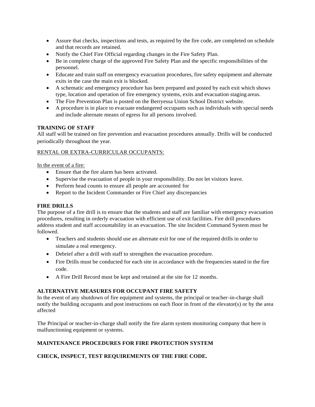- Assure that checks, inspections and tests, as required by the fire code, are completed on schedule and that records are retained.
- Notify the Chief Fire Official regarding changes in the Fire Safety Plan.
- Be in complete charge of the approved Fire Safety Plan and the specific responsibilities of the personnel.
- Educate and train staff on emergency evacuation procedures, fire safety equipment and alternate exits in the case the main exit is blocked.
- A schematic and emergency procedure has been prepared and posted by each exit which shows type, location and operation of fire emergency systems, exits and evacuation staging areas.
- The Fire Prevention Plan is posted on the Berryessa Union School District website.
- A procedure is in place to evacuate endangered occupants such as individuals with special needs and include alternate means of egress for all persons involved.

# **TRAINING OF STAFF**

All staff will be trained on fire prevention and evacuation procedures annually. Drills will be conducted periodically throughout the year.

#### RENTAL OR EXTRA-CURRICULAR OCCUPANTS:

#### In the event of a fire:

- Ensure that the fire alarm has been activated.
- Supervise the evacuation of people in your responsibility. Do not let visitors leave.
- Perform head counts to ensure all people are accounted for
- Report to the Incident Commander or Fire Chief any discrepancies

#### **FIRE DRILLS**

The purpose of a fire drill is to ensure that the students and staff are familiar with emergency evacuation procedures, resulting in orderly evacuation with efficient use of exit facilities. Fire drill procedures address student and staff accountability in an evacuation. The site Incident Command System must be followed.

- Teachers and students should use an alternate exit for one of the required drills in order to simulate a real emergency.
- Debrief after a drill with staff to strengthen the evacuation procedure.
- Fire Drills must be conducted for each site in accordance with the frequencies stated in the fire code.
- A Fire Drill Record must be kept and retained at the site for 12 months.

# **ALTERNATIVE MEASURES FOR OCCUPANT FIRE SAFETY**

In the event of any shutdown of fire equipment and systems, the principal or teacher-in-charge shall notify the building occupants and post instructions on each floor in front of the elevator(s) or by the area affected

The Principal or teacher-in-charge shall notify the fire alarm system monitoring company that here is malfunctioning equipment or systems.

# **MAINTENANCE PROCEDURES FOR FIRE PROTECTION SYSTEM**

# **CHECK, INSPECT, TEST REQUIREMENTS OF THE FIRE CODE.**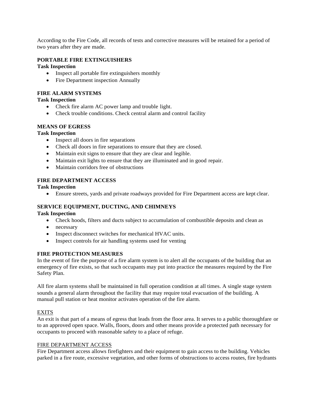According to the Fire Code, all records of tests and corrective measures will be retained for a period of two years after they are made.

# **PORTABLE FIRE EXTINGUISHERS**

#### **Task Inspection**

- Inspect all portable fire extinguishers monthly
- Fire Department inspection Annually

# **FIRE ALARM SYSTEMS**

# **Task Inspection**

- Check fire alarm AC power lamp and trouble light.
- Check trouble conditions. Check central alarm and control facility

# **MEANS OF EGRESS**

#### **Task Inspection**

- Inspect all doors in fire separations
- Check all doors in fire separations to ensure that they are closed.
- Maintain exit signs to ensure that they are clear and legible.
- Maintain exit lights to ensure that they are illuminated and in good repair.
- Maintain corridors free of obstructions

#### **FIRE DEPARTMENT ACCESS**

#### **Task Inspection**

Ensure streets, yards and private roadways provided for Fire Department access are kept clear.

# **SERVICE EQUIPMENT, DUCTING, AND CHIMNEYS**

#### **Task Inspection**

- Check hoods, filters and ducts subject to accumulation of combustible deposits and clean as
- necessary
- Inspect disconnect switches for mechanical HVAC units.
- Inspect controls for air handling systems used for venting

#### **FIRE PROTECTION MEASURES**

In the event of fire the purpose of a fire alarm system is to alert all the occupants of the building that an emergency of fire exists, so that such occupants may put into practice the measures required by the Fire Safety Plan.

All fire alarm systems shall be maintained in full operation condition at all times. A single stage system sounds a general alarm throughout the facility that may require total evacuation of the building. A manual pull station or heat monitor activates operation of the fire alarm.

#### EXITS

An exit is that part of a means of egress that leads from the floor area. It serves to a public thoroughfare or to an approved open space. Walls, floors, doors and other means provide a protected path necessary for occupants to proceed with reasonable safety to a place of refuge.

#### FIRE DEPARTMENT ACCESS

Fire Department access allows firefighters and their equipment to gain access to the building. Vehicles parked in a fire route, excessive vegetation, and other forms of obstructions to access routes, fire hydrants